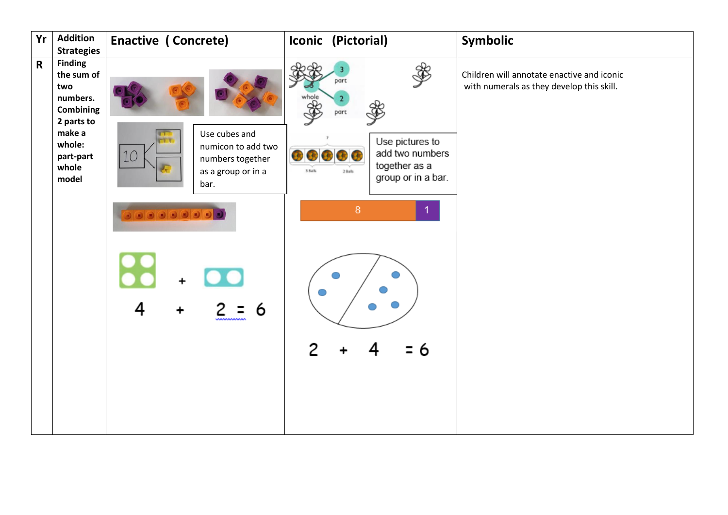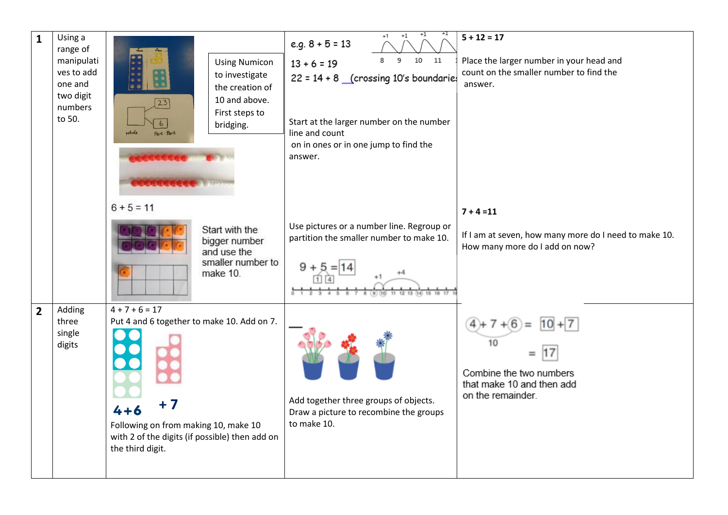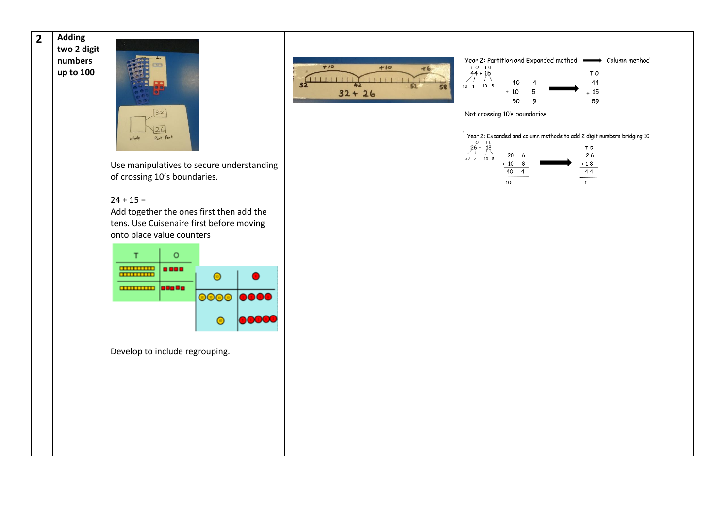**2 Adding two 2 digit numbers up to 100**



Use manipulatives to secure understanding of crossing 10's boundaries.

 $+10$ 

## $24 + 15 =$

Add together the ones first then add the tens. Use Cuisenaire first before moving onto place value counters



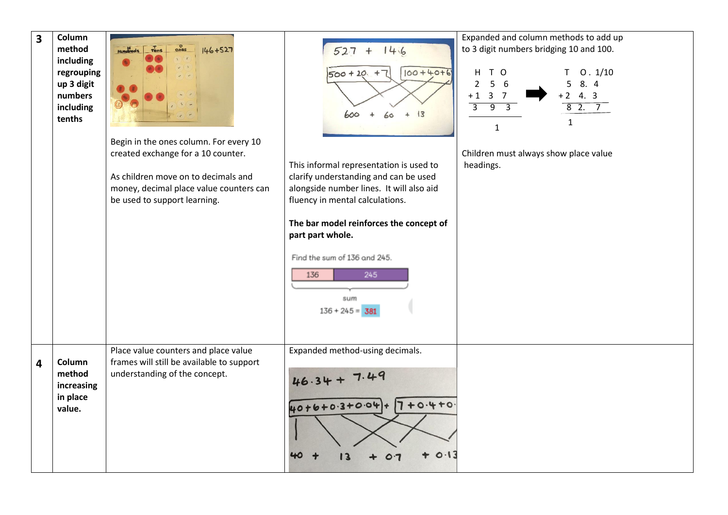| $\overline{\mathbf{3}}$ | Column<br>method<br>including<br>regrouping<br>up 3 digit<br>numbers<br>including<br>tenths | $rac{0}{\text{ones}}$<br>$T_{ens}$<br>$146 + 527$<br><b>Hundreds</b><br>Begin in the ones column. For every 10<br>created exchange for a 10 counter.<br>As children move on to decimals and<br>money, decimal place value counters can<br>be used to support learning. | $527 + 146$<br>$100 + 40 + 6$<br>$500 + 20 +$<br> 3<br>$\ddot{\phantom{1}}$<br>60<br>This informal representation is used to<br>clarify understanding and can be used<br>alongside number lines. It will also aid<br>fluency in mental calculations.<br>The bar model reinforces the concept of<br>part part whole.<br>Find the sum of 136 and 245.<br>245<br>136<br>sum<br>$136 + 245 = 381$ | Expanded and column methods to add up<br>to 3 digit numbers bridging 10 and 100.<br>H T O<br>0.1/10<br>T.<br>8. 4<br>5<br>5<br>$\overline{2}$<br>6<br>$+2$ 4.3<br>$\overline{3}$<br>$\overline{7}$<br>$+1$<br>82.7<br>३<br>ज़<br>$\overline{3}$<br>1<br>$\mathbf{1}$<br>Children must always show place value<br>headings. |
|-------------------------|---------------------------------------------------------------------------------------------|------------------------------------------------------------------------------------------------------------------------------------------------------------------------------------------------------------------------------------------------------------------------|-----------------------------------------------------------------------------------------------------------------------------------------------------------------------------------------------------------------------------------------------------------------------------------------------------------------------------------------------------------------------------------------------|----------------------------------------------------------------------------------------------------------------------------------------------------------------------------------------------------------------------------------------------------------------------------------------------------------------------------|
| 4                       | Column<br>method<br>increasing<br>in place<br>value.                                        | Place value counters and place value<br>frames will still be available to support<br>understanding of the concept.                                                                                                                                                     | Expanded method-using decimals.<br>46.34<br>40+6+0.3+0.04+7+0.4+0.<br>0.13                                                                                                                                                                                                                                                                                                                    |                                                                                                                                                                                                                                                                                                                            |